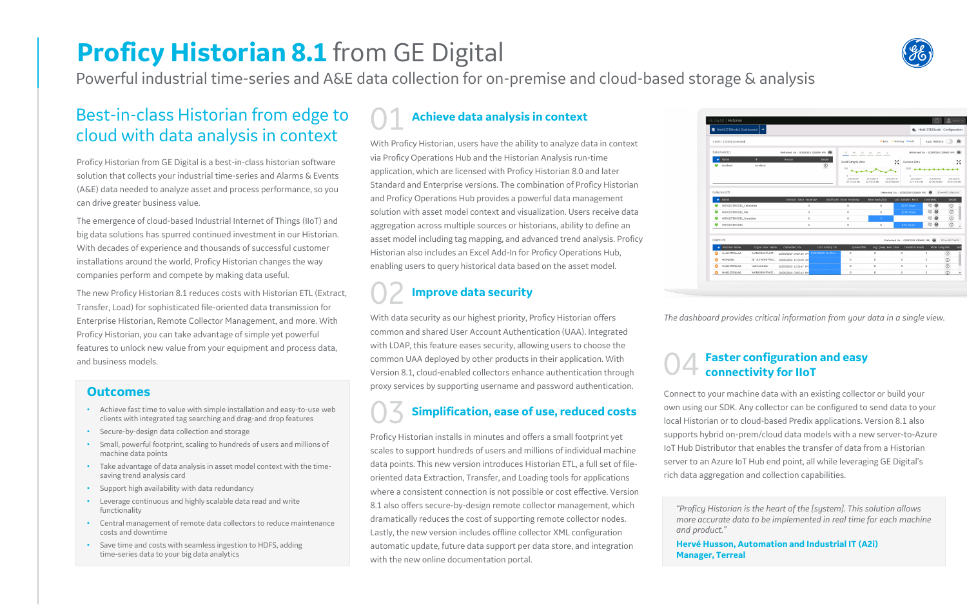# **Proficy Historian 8.1** from GE Digital

Powerful industrial time-series and A&E data collection for on-premise and cloud-based storage & analysis

## Best-in-class Historian from edge to cloud with data analysis in context

Proficy Historian from GE Digital is a best-in-class historian software solution that collects your industrial time-series and Alarms & Events (A&E) data needed to analyze asset and process performance, so you can drive greater business value.

The emergence of cloud-based Industrial Internet of Things (IIoT) and big data solutions has spurred continued investment in our Historian. With decades of experience and thousands of successful customer installations around the world, Proficy Historian changes the way companies perform and compete by making data useful.

The new Proficy Historian 8.1 reduces costs with Historian ETL (Extract, Transfer, Load) for sophisticated file-oriented data transmission for Enterprise Historian, Remote Collector Management, and more. With Proficy Historian, you can take advantage of simple yet powerful features to unlock new value from your equipment and process data, and business models.

## 01 **Achieve data analysis in context**

With Proficy Historian, users have the ability to analyze data in context via Proficy Operations Hub and the Historian Analysis run-time application, which are licensed with Proficy Historian 8.0 and later Standard and Enterprise versions. The combination of Proficy Historian and Proficy Operations Hub provides a powerful data management solution with asset model context and visualization. Users receive data aggregation across multiple sources or historians, ability to define an asset model including tag mapping, and advanced trend analysis. Proficy Historian also includes an Excel Add-In for Proficy Operations Hub, enabling users to query historical data based on the asset model.

## **Improve data security**

With data security as our highest priority, Proficy Historian offers common and shared User Account Authentication (UAA). Integrated with LDAP, this feature eases security, allowing users to choose the common UAA deployed by other products in their application. With Version 8.1, cloud-enabled collectors enhance authentication through proxy services by supporting username and password authentication.

# 03 **Simplification, ease of use, reduced costs**

Proficy Historian installs in minutes and offers a small footprint yet scales to support hundreds of users and millions of individual machine data points. This new version introduces Historian ETL, a full set of fileoriented data Extraction, Transfer, and Loading tools for applications where a consistent connection is not possible or cost effective. Version 8.1 also offers secure-by-design remote collector management, which dramatically reduces the cost of supporting remote collector nodes. Lastly, the new version includes offline collector XML configuration automatic update, future data support per data store, and integration with the new online documentation portal.



| ■ Hist61STDNode1 Dashboard   ↓<br><b>名 Hist61STDNode1 Configuration</b><br>Auto Refresh<br>Users - 1 (1000 Licensed)<br>$=$ Error $-$ Warning $-$ Info<br>Data Node (1)<br>(Refreshed On · 02/05/2019 03:08:59 PM)<br>(Refreshed On - 02/05/2019 03:09:00 PM)<br>1h 8h 1d 1w 1m 1y<br>IP<br><b>Details</b><br>$\triangle$ Name<br>Reason<br>kл<br>Read Sample Rate<br>Receive Rate<br>$\times$<br>$\odot$<br>۰<br>localhost<br>localhost<br>100<br>2000<br>$^{\circ}$<br>$0 -$<br>2/5/2019<br>2/5/2019<br>2/5/2019<br>2/5/2019<br>2/5/2019<br>02:15:00 PM<br>02:39:00 PM<br>02:15:00 PM<br>02:39:00 PM<br>03:03:00 PM<br>Collectors (5)<br>$\odot$<br>(Refreshed On - 02/05/2019 03:08:59 PM)<br>Show All Collectors<br>OutOfOrder Since Yesterday<br>Last Samples Rec'd<br>Name<br>Overruns Since Yesterday<br>Reconnects/Day<br><b>Comments</b><br>$\blacksquare$ $\odot$<br>œ<br>HIST61STDNODE1_Calculation<br>$\begin{array}{c} 0 \\ 0 \end{array}$<br>$^{\circ}$<br>$^{\circ}$<br>10.79 hours<br>œ<br>$\circ$<br>۵<br>$\circ$<br>$\circ$<br>HIST61STDNODE1_File<br>$\circ$<br>10.38 hours<br>œ,<br>$\circledcirc$<br>c<br>$^{\circ}$<br>HIST61STDNODE1_Simulation<br>$^{\circ}$<br>$-3$ |   | GE Digital   Historian |                |                        |                   |          |             |            | $\bigcirc$ $\bigcirc$ admin $\vee$    |                  |
|----------------------------------------------------------------------------------------------------------------------------------------------------------------------------------------------------------------------------------------------------------------------------------------------------------------------------------------------------------------------------------------------------------------------------------------------------------------------------------------------------------------------------------------------------------------------------------------------------------------------------------------------------------------------------------------------------------------------------------------------------------------------------------------------------------------------------------------------------------------------------------------------------------------------------------------------------------------------------------------------------------------------------------------------------------------------------------------------------------------------------------------------------------------------------------------------|---|------------------------|----------------|------------------------|-------------------|----------|-------------|------------|---------------------------------------|------------------|
|                                                                                                                                                                                                                                                                                                                                                                                                                                                                                                                                                                                                                                                                                                                                                                                                                                                                                                                                                                                                                                                                                                                                                                                              |   |                        |                |                        |                   |          |             |            |                                       |                  |
|                                                                                                                                                                                                                                                                                                                                                                                                                                                                                                                                                                                                                                                                                                                                                                                                                                                                                                                                                                                                                                                                                                                                                                                              |   |                        |                |                        |                   |          |             |            |                                       |                  |
|                                                                                                                                                                                                                                                                                                                                                                                                                                                                                                                                                                                                                                                                                                                                                                                                                                                                                                                                                                                                                                                                                                                                                                                              |   |                        |                |                        |                   |          |             |            |                                       |                  |
|                                                                                                                                                                                                                                                                                                                                                                                                                                                                                                                                                                                                                                                                                                                                                                                                                                                                                                                                                                                                                                                                                                                                                                                              |   |                        |                |                        |                   |          |             |            |                                       |                  |
|                                                                                                                                                                                                                                                                                                                                                                                                                                                                                                                                                                                                                                                                                                                                                                                                                                                                                                                                                                                                                                                                                                                                                                                              |   |                        |                |                        |                   |          |             |            |                                       |                  |
|                                                                                                                                                                                                                                                                                                                                                                                                                                                                                                                                                                                                                                                                                                                                                                                                                                                                                                                                                                                                                                                                                                                                                                                              |   |                        |                |                        |                   |          |             |            |                                       |                  |
|                                                                                                                                                                                                                                                                                                                                                                                                                                                                                                                                                                                                                                                                                                                                                                                                                                                                                                                                                                                                                                                                                                                                                                                              |   |                        |                |                        |                   |          |             |            |                                       |                  |
|                                                                                                                                                                                                                                                                                                                                                                                                                                                                                                                                                                                                                                                                                                                                                                                                                                                                                                                                                                                                                                                                                                                                                                                              |   |                        |                |                        |                   |          |             |            |                                       |                  |
|                                                                                                                                                                                                                                                                                                                                                                                                                                                                                                                                                                                                                                                                                                                                                                                                                                                                                                                                                                                                                                                                                                                                                                                              |   |                        |                |                        |                   |          |             |            |                                       |                  |
|                                                                                                                                                                                                                                                                                                                                                                                                                                                                                                                                                                                                                                                                                                                                                                                                                                                                                                                                                                                                                                                                                                                                                                                              |   |                        |                |                        |                   |          |             |            |                                       |                  |
|                                                                                                                                                                                                                                                                                                                                                                                                                                                                                                                                                                                                                                                                                                                                                                                                                                                                                                                                                                                                                                                                                                                                                                                              |   |                        |                |                        |                   |          |             |            |                                       |                  |
|                                                                                                                                                                                                                                                                                                                                                                                                                                                                                                                                                                                                                                                                                                                                                                                                                                                                                                                                                                                                                                                                                                                                                                                              |   |                        |                |                        |                   |          |             |            |                                       |                  |
|                                                                                                                                                                                                                                                                                                                                                                                                                                                                                                                                                                                                                                                                                                                                                                                                                                                                                                                                                                                                                                                                                                                                                                                              |   |                        |                |                        |                   |          |             |            |                                       |                  |
| $\Omega$                                                                                                                                                                                                                                                                                                                                                                                                                                                                                                                                                                                                                                                                                                                                                                                                                                                                                                                                                                                                                                                                                                                                                                                     |   | HIST61STDNODE1         |                |                        |                   | $\bf{0}$ | $\circ$     | 5.51 hours | $-0$                                  |                  |
|                                                                                                                                                                                                                                                                                                                                                                                                                                                                                                                                                                                                                                                                                                                                                                                                                                                                                                                                                                                                                                                                                                                                                                                              |   |                        |                |                        |                   |          |             |            |                                       | Show All Clients |
|                                                                                                                                                                                                                                                                                                                                                                                                                                                                                                                                                                                                                                                                                                                                                                                                                                                                                                                                                                                                                                                                                                                                                                                              |   |                        |                |                        |                   |          |             |            |                                       |                  |
| (Refreshed On - 02/05/2019 03:08:59 PM)<br>Clients (5)                                                                                                                                                                                                                                                                                                                                                                                                                                                                                                                                                                                                                                                                                                                                                                                                                                                                                                                                                                                                                                                                                                                                       |   |                        |                |                        |                   |          |             |            |                                       |                  |
| Oueries/Min<br>Write Samp/Min<br>Machine Name<br>Loa-in User Name<br>Connected On<br>Last Activity On<br>Ava Ouery Exec Time TimedOut Reads                                                                                                                                                                                                                                                                                                                                                                                                                                                                                                                                                                                                                                                                                                                                                                                                                                                                                                                                                                                                                                                  |   |                        |                |                        |                   |          |             |            |                                       |                  |
| WORKGROUP\HIST<br>02/05/2019 04:07:55 AM 02/05/2019 04:23:46<br>$\circ$<br>$\overline{0}$<br>$\circ$<br>$\mathbf 0$<br>ω<br>Hist61STDNode1                                                                                                                                                                                                                                                                                                                                                                                                                                                                                                                                                                                                                                                                                                                                                                                                                                                                                                                                                                                                                                                   |   |                        |                |                        | <b>COL</b>        |          |             |            |                                       |                  |
| NT AUTHORITY\AN<br>ጣ<br>HistNode4<br>$\begin{array}{c} 0 \\ 0 \end{array}$<br>$^{\circ}$<br>$^{\circ}$<br>$\begin{array}{c} 0 \end{array}$<br>02/05/2019 11:13:09 AM                                                                                                                                                                                                                                                                                                                                                                                                                                                                                                                                                                                                                                                                                                                                                                                                                                                                                                                                                                                                                         | ወ | Hist61STDNode1         | \Administrator |                        | <b>College</b>    | $\circ$  | $\mathbb O$ | $\circ$    | $\circ$                               |                  |
| 02/05/2019 12:52:47 PM                                                                                                                                                                                                                                                                                                                                                                                                                                                                                                                                                                                                                                                                                                                                                                                                                                                                                                                                                                                                                                                                                                                                                                       | ⋒ | Hist61STDNode1         | WORKGROUP\HIST | 02/05/2019 03:07:42 PM | <b>Contractor</b> | $\circ$  | $^{\circ}$  | 0          | $\begin{array}{c} 0 \\ 0 \end{array}$ |                  |

## 04 **Faster configuration and easy connectivity for IIoT**

Connect to your machine data with an existing collector or build your own using our SDK. Any collector can be configured to send data to your local Historian or to cloud-based Predix applications. Version 8.1 also supports hybrid on-prem/cloud data models with a new server-to-Azure IoT Hub Distributor that enables the transfer of data from a Historian server to an Azure IoT Hub end point, all while leveraging GE Digital's rich data aggregation and collection capabilities.

## **Outcomes**

- Achieve fast time to value with simple installation and easy-to-use web clients with integrated tag searching and drag-and drop features
- Secure-by-design data collection and storage
- Small, powerful footprint, scaling to hundreds of users and millions of machine data points
- Take advantage of data analysis in asset model context with the timesaving trend analysis card
- Support high availability with data redundancy
- Leverage continuous and highly scalable data read and write functionality
- Central management of remote data collectors to reduce maintenance costs and downtime
- Save time and costs with seamless ingestion to HDFS, adding time-series data to your big data analytics

*The dashboard provides critical information from your data in a single view.*

**Hervé Husson, Automation and Industrial IT (A2i) Manager, Terreal**

*"Proficy Historian is the heart of the [system]. This solution allows more accurate data to be implemented in real time for each machine and product."*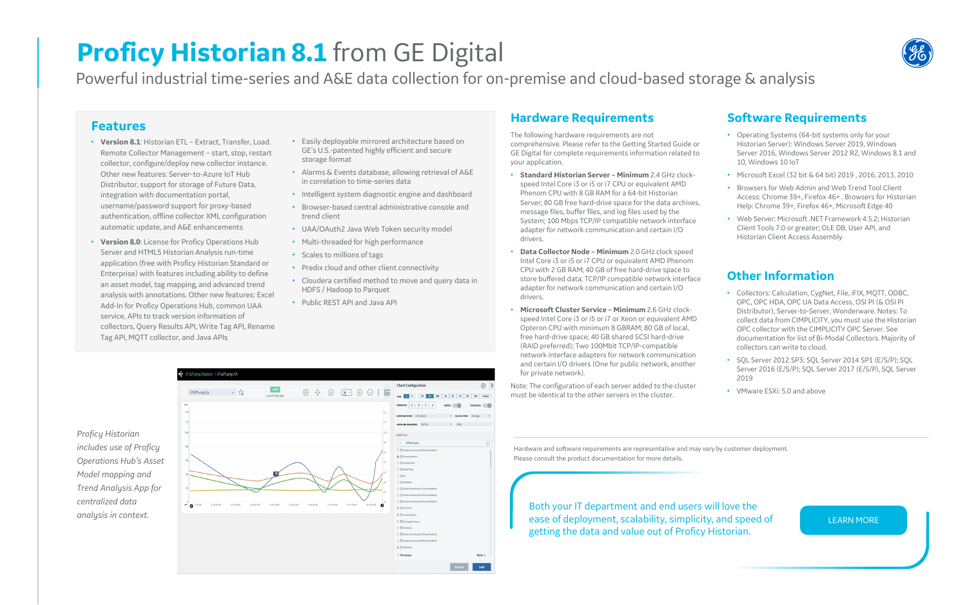# **Proficy Historian 8.1** from GE Digital

Powerful industrial time-series and A&E data collection for on-premise and cloud-based storage & analysis

## **Features**

- **Version 8.1**: Historian ETL Extract, Transfer, Load. Remote Collector Management – start, stop, restart collector, configure/deploy new collector instance. Other new features: Server-to-Azure IoT Hub Distributor, support for storage of Future Data, integration with documentation portal, username/password support for proxy-based authentication, offline collector XML configuration automatic update, and A&E enhancements
- **Version 8.0**: License for Proficy Operations Hub Server and HTML5 Historian Analysis run-time application (free with Proficy Historian Standard or Enterprise) with features including ability to define an asset model, tag mapping, and advanced trend analysis with annotations. Other new features: Excel Add-In for Proficy Operations Hub, common UAA service, APIs to track version information of collectors, Query Results API, Write Tag API, Rename Tag API, MQTT collector, and Java APIs
- Easily deployable mirrored architecture based on GE's U.S.-patented highly efficient and secure storage format
- Alarms & Events database, allowing retrieval of A&E in correlation to time-series data
- Intelligent system diagnostic engine and dashboard
- Browser-based central administrative console and trend client
- UAA/OAuth2 Java Web Token security model
- Multi-threaded for high performance
- Scales to millions of tags
- Predix cloud and other client connectivity
- Cloudera certified method to move and query data in HDFS / Hadoop to Parquet
- Public REST API and Java API

## **Hardware Requirements**

The following hardware requirements are not comprehensive. Please refer to the Getting Started Guide or GE Digital for complete requirements information related to your application.

- **Standard Historian Server – Minimum** 2.4 GHz clockspeed Intel Core i3 or i5 or i7 CPU or equivalent AMD Phenom CPU with 8 GB RAM for a 64-bit Historian Server; 80 GB free hard-drive space for the data archives, message files, buffer files, and log files used by the System; 100 Mbps TCP/IP compatible network interface adapter for network communication and certain I/O drivers.
- **Data Collector Node – Minimum** 2.0 GHz clock speed Intel Core i3 or i5 or i7 CPU or equivalent AMD Phenom CPU with 2 GB RAM; 40 GB of free hard-drive space to store buffered data; TCP/IP compatible network interface adapter for network communication and certain I/O drivers.
- **Microsoft Cluster Service – Minimum** 2.6 GHz clockspeed Intel Core i3 or i5 or i7 or Xeon or equivalent AMD Opteron CPU with minimum 8 GBRAM; 80 GB of local, free hard-drive space; 40 GB shared SCSI hard-drive (RAID preferred); Two 100Mbit TCP/IP-compatible network interface adapters for network communication and certain I/O drivers (One for public network, another for private network).

Note: The configuration of each server added to the cluster must be identical to the other servers in the cluster.

## **Software Requirements**

- Operating Systems (64-bit systems only for your Historian Server): Windows Server 2019, Windows Server 2016, Windows Server 2012 R2, Windows 8.1 and 10, Windows 10 IoT
- Microsoft Excel (32 bit & 64 bit) 2019 , 2016, 2013, 2010
- Browsers for Web Admin and Web Trend Tool Client Access: Chrome 39+, Firefox 46+ . Browsers for Historian Help: Chrome 39+, Firefox 46+, Microsoft Edge 40
- Web Server: Microsoft .NET Framework 4.5.2; Historian Client Tools 7.0 or greater; OLE DB, User API, and Historian Client Access Assembly

Hardware and software requirements are representative and may vary by customer deployment. Please consult the product documentation for more details.

Both your IT department and end users will love the ease of deployment, scalability, simplicity, and speed of getting the data and value out of Proficy Historian.

[LEARN MORE](https://www.ge.com/digital/applications/historian)

## **Other Information**

- Collectors: Calculation, CygNet, File, iFIX, MQTT, ODBC, OPC, OPC HDA, OPC UA Data Access, OSI PI (& OSI PI Distributor), Server-to-Server, Wonderware. Notes: To collect data from CIMPLICITY, you must use the Historian OPC collector with the CIMPLICITY OPC Server. See documentation for list of Bi-Modal Collectors. Majority of collectors can write to cloud.
- SOL Server 2012 SP3: SOL Server 2014 SP1 (E/S/P): SOL Server 2016 (E/S/P); SQL Server 2017 (E/S/P), SQL Server 2019
- VMware ESXi: 5.0 and above

| Proficy Historian             |  |  |  |  |  |  |  |
|-------------------------------|--|--|--|--|--|--|--|
| includes use of Proficy       |  |  |  |  |  |  |  |
| <b>Operations Hub's Asset</b> |  |  |  |  |  |  |  |
| Model mapping and             |  |  |  |  |  |  |  |
| Trend Analysis App for        |  |  |  |  |  |  |  |
| centralized data              |  |  |  |  |  |  |  |
| analysis in context.          |  |  |  |  |  |  |  |